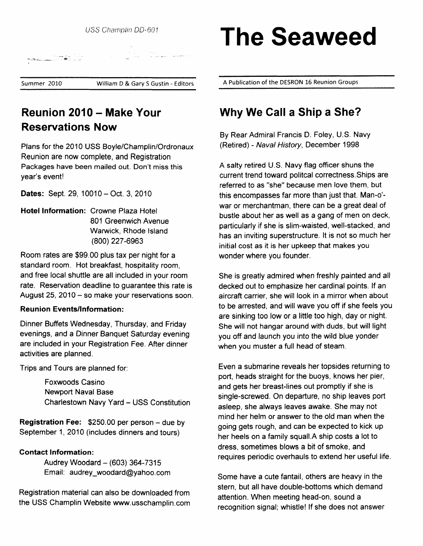

Reunion 2010 - Make Your Reservations Now

Plans for the 2010 USS Boyle/Champlin/Ordronaux Reunion are now complete, and Registration Packages have been mailed out. Don't miss this year's event!

Dates: Sept. 29, 10010 - Oct. 3, 2010

Hotel Information: Crowne Plaza Hotel 801 Greenwich Avenue Warwick, Rhode lsland (800) 227-6963

Room rates are \$99.00 plus tax per night for a standard room. Hot breakfast, hospitality room, and free local shuttle are all included in your room rate. Reservation deadline to guarantee this rate is August 25, 2010  $-$  so make your reservations soon.

#### **Reunion Events/Information:**

Dinner Buffets Wednesday, Thursday, and Friday evenings, and a Dinner Banquet Saturday evening are included in your Registration Fee. After dinner activities are planned.

Trips and Tours are planned for:

Foxwoods Casino Newport Naval Base Charlestown Navy Yard - USS Constitution

Registration Fee: \$250.00 per person - due by September 1, 2010 (includes dinners and tours)

#### Contact Information:

Audrey Woodard  $-$  (603) 364-7315 Email: audrey\_woodard@yahoo.com

Registration material can also be downloaded from the USS Champlin Website www.usschamplin.com

# USS Champlin DD-601 The Seaweed

William D & Gary S Gustin - Editors A Publication of the DESRON 16 Reunion Groups

## Why We Call a Ship a She?

By Rear Admiral Francis D. Foley, U.S. Navy (Retired) - Naval History, December 1998

A salty retired U.S. Navy flag officer shuns the current trend toward politcal correctness.Ships are referred to as "she" because men love them, but this encompasses far more than just that. Man-o' war or merchantman, there can be a great deal of bustle about her as well as a gang of men on deck, particularly if she is slim-waisted, well-stacked, and has an inviting superstructure. It is not so much her initial cost as it is her upkeep that makes you wonder where you founder.

She is greatly admired when freshly painted and all decked out to emphasize her cardinal points. lf an aircraft carrier, she will look in a mirror when about to be arrested, and will wave you off if she feels you are sinking too low or a little too high, day or night. She will not hangar around with duds, but will light you off and launch you into the wild blue yonder when you muster a full head of steam.

Even a submarine reveals her topsides returning to port, heads straight for the buoys, knows her pier, and gets her breast-lines out promptly if she is single-screwed. On departure, no ship leaves port asfeep, she always leaves awake. She may not mind her helm or answer to the old man when the going gets rough, and can be expected to kick up her heels on a family squall.A ship costs a lot to dress, sometimes blows a bit of smoke, and requires periodic overhauls to extend her useful life.

Some have a cute fantail, others are heavy in the stern, but all have double-bottoms which demand attention. When meeting head-on, sound a recognition signal; whistle! lf she does not answer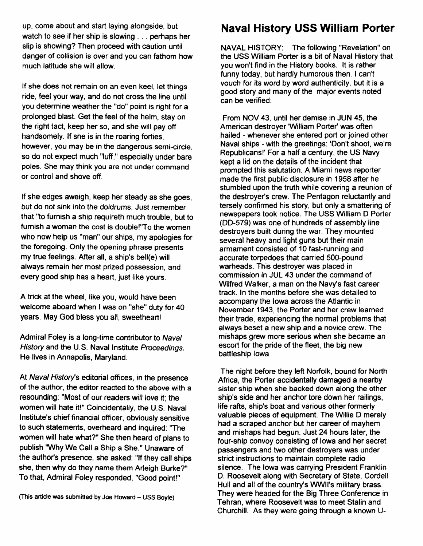up, come about and start laying alongside, but watch to see if her ship is slowing  $\ldots$  perhaps her slip is showing? Then proceed with caution until danger of collision is over and you can fathom how much latitude she will allow.

lf she does not remain on an even keel, let things ride, feel your way, and do not cross the line until you determine weather the "do" point is right for a prolonged blast. Get the feel of the helm, stay on the right tact, keep her so, and she will pay off handsomely. lf she is in the roaring forties, however, you may be in the dangerous semi-circle, so do not expect much "luff," especially under bare poles. She may think you are not under command or control and shove off.

lf she edges aweigh, keep her steady as she goes, but do not sink into the doldrums. Just remember that "to furnish a ship requireth much trouble, but to furnish a woman the cost is double!"To the women who now help us "man" our ships, my apologies for the foregoing. Only the opening phrase presents my true feelings. After all, a ship's bell(e) will always remain her most prized possession, and every good ship has a heart, just like yours,

A trick at the wheel, like you, would have been welcome aboard when I was on "she" duty for 40 years. May God bless you all, sweetheart!

Admiral Foley is a long-time contributor to Naval History and the U.S. Naval Institute Proceedings. He lives in Annapolis, Maryland.

At Naval History's editorial offices, in the presence of the author, the editor reacted to the above with a resounding: "Most of our readers will love it; the women will hate it!" Coincidentally, the U.S. Naval Institute's chief financial officer, obviously sensitive to such statements, overheard and inquired: 'The women will hate what?" She then heard of plans to publish 'Why We Call a Ship a She." Unaware of the authofs presence, she asked: "lf they call ships she, then why do they name them Arleigh Burke?" To that, Admiral Foley responded, "Good point!"

## Naval History USS William Porter

NAVAL HISTORY: The following "Revelation" on the USS William Porter is a bit of Naval History that you won't find in the History books. lt is rather funny today, but hardly humorous then. I can't vouch for its word by word authenticity, but it is a good story and many of the major events noted can be verified:

From NOV 43, until her demise in JUN 45, the American destroyer William Porter'was often hailed - whenever she entered port or joined other Naval ships - with the greetings: 'Don't shoot, we're Republicans!' For a half a century, the US Navy kept a lid on the details of the incident that prompted this salutation. AMiami news reporter made the first public disclosure in 1958 after he stumbled upon the truth while covering a reunion of the destroyer's crew. The Pentagon reluctantly and tersely confirmed his story, but only a smattering of newspapers took notice. The USS William D Porter (DD-579) was one of hundreds of assembly fine destroyers built during the war. They mounted several heavy and light guns but their main armament consisted of 10 fast-running and accurate torpedoes that carried 500-pound warheads. This destroyer was placed in commission in JUL 43 under the command of Wilfred Walker, a man on the Navy's fast career track. In the months before she was detailed to accompany the fowa across the Atlantic in November 1943, the Porter and her crew learned their trade, experiencing the normal problems that always beset a new ship and a novice crew. The mishaps grew more serious when she became an escort for the pride of the fleet, the big new battleship lowa.

The night before they left Norfolk, bound for North Africa, the Porter accidentally damaged a nearby sister ship when she backed down along the other ship's side and her anchor tore down her railings, life rafts, ship's boat and various other formerly valuable pieces of equipment. The Willie D merely had a scraped anchor but her career of mayhem and mishaps had begun. Just 24 hours later, the four-ship convoy consisting of lowa and her secret passengers and two other destroyers was under strict instructions to maintain complete radio silence. The lowa was carrying President Franklin D. Roosevelt along with Secretary of State, Cordell Hull and all of the country's WWII's military brass. They were headed for the Big Three Conference in Tehran, where Roosevelt was to meet Stalin and Churchill. As they were going through a known U-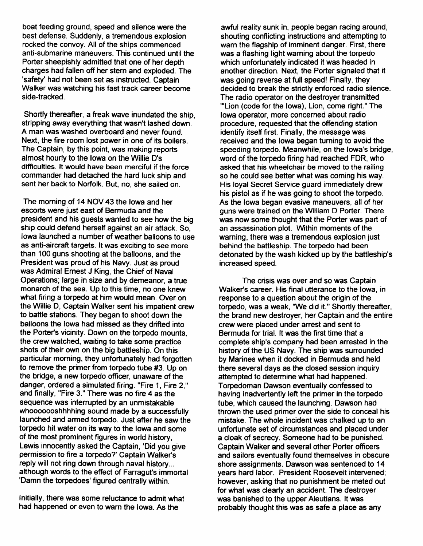boat feeding ground, speed and silence were the best defense. Suddenly, atremendous explosion rocked the convoy. All of the ships commenced anti-submarine maneuvers. This continued until the Porter sheepishly admitted that one of her depth<br>charges had fallen off her stern and exploded. The 'safety' had not been set as instructed. Captain Walker was watching his fast track career become side-tracked.

Shortly thereafter, a freak wave inundated the ship, stripping away everything that wasn't lashed down. A man was washed overboard and never found. Next, the fire room lost power in one of its boilers. The Captain, by this point, was making reports almost hourly to the lowa on the Willie D's difficulties. ft would have been merciful if the force commander had detached the hard luck ship and sent her back to Norfolk. But, no, she sailed on.

The morning of 14 NOV 43 the lowa and her escorts were just east of Bermuda and the president and his guests wanted to see how the big ship could defend herself against an air attack. So, lowa launched a number of weather balloons to use as anti-aircraft targets. lt was exciting to see more than 100 guns shooting at the balloons, and the President was proud of his Navy. Just as proud was Admiral Ernest J King, the Chief of Naval Operations; farge in size and by demeanor, atrue monarch of the sea. Up to this time, no one knew what firing a torpedo at him would mean. Over on the Willie D, Captain Walker sent his impatient crew to battle stations. They began to shoot down the balloons the lowa had missed as they drifted into the Porter's vicinity. Down on the torpedo mounts, the crew watched, waiting to take some practice shots of their own on the big battleship. On this particular morning, they unfortunately had forgotten to remove the primer from torpedo tube #3. Up on the bridge, a new torpedo officer, unaware of the danger, ordered a simulated firing. "Fire 1, Fire 2," and finally, "Fire 3." There was no fire 4 as the sequence was interrupted by an unmistakable whooooooshhhhing sound made by a successfully launched and armed torpedo. Just after he saw the torpedo hit water on its way to the lowa and some of the most prominent figures in world history, Lewis innocently asked the Captain, 'Did you give permission to fire a torpedo?' Captain Walker's reply will not ring down through naval history... although words to the effect of Farragut's immortal 'Damn the torpedoes' figured centrally within.

Initially, there was some reluctance to admit what had happened or even to warn the lowa. As the

awful reality sunk in, people began racing around, shouting conflicting instructions and attempting to warn the flagship of imminent danger. First, there was a flashing light waming about the torpedo which unfortunately indicated it was headed in another direction. Next, the Porter signaled that it was going reverse at full speed! Finally, they decided to break the strictly enforced radio silence. The radio operator on the destroyer transmitted "'Lion (code for the lowa), Lion, come right." The lowa operator, more concemed about radio procedure, requested that the offending station identify itself first. Finally, the message was received and the lowa began tuming to avoid the speeding torpedo. Meanwhile, on the lowa's bridge, word of the torpedo firing had reached FDR, who asked that his wheelchair be moved to the railing so he could see better what was coming his way. His loyal Secret Service guard immediately drew his pistol as if he was going to shoot the torpedo. As the lowa began evasive maneuvers, all of her guns were trained on the William D Porter. There was now some thought that the Porter was part of an assassination plot. Within moments of the warning, there was a tremendous explosion just behind the battleship. The torpedo had been detonated by the wash kicked up by the battleship's increased speed.

The crisis was over and so was Captain Walker's career. His final utterance to the lowa, in response to a question about the origin of the torpedo, was a weak, "We did it." Shortly thereafter, the brand new destroyer, her Gaptain and the entire crew were placed under arrest and sent to Bermuda for trial. lt was the first time that a complete ship's company had been arrested in the history of the US Navy. The ship was surrounded by Marines when it docked in Bermuda and held there several days as the closed session inquiry attempted to determine what had happened. Torpedoman Dawson eventually confessed to having inadvertently left the primer in the torpedo tube, which caused the launching. Dawson had thrown the used primer over the side to conceal his mistake. The whole incident was chalked up to an unfortunate set of circumstances and placed under a cloak of secrecy. Someone had to be punished. Captain Walker and several other Porter officers and sailors eventually found themselves in obscure shore assignments. Dawson was sentenced to 14 years hard labor. President Roosevelt intervened; however, asking that no punishment be meted out for what was clearly an accident. The destroyer was banished to the upper Aleutians. lt was probably thought this was as safe a place as any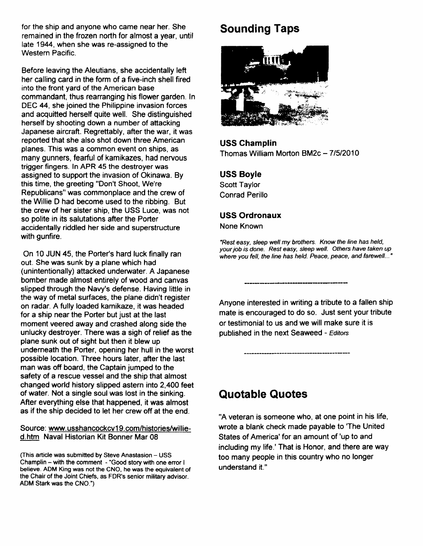for the ship and anyone who came near her. She remained in the frozen north for almost a year, until late 1944, when she was re-assigned to the Western Pacific.

Before leaving the Aleutians, she accidentally left her calling card in the form of a five-inch shell fired into the front yard of the American base commandant, thus rearranging his flower garden. In DEC 44, she joined the Philippine invasion forces and acquitted herself quite well. She distinguished herself by shooting down a number of attacking Japanese aircraft. Regrettably, after the war, it was reported that she also shot down three American planes. This was a common event on ships, as many gunners, fearful of kamikazes, had nervous trigger fingers. In APR 45 the destroyer was assigned to support the invasion of Okinawa. By this time, the greeting "Don't Shoot, We're Republicans" was commonplace and the crew of the Willie D had become used to the ribbing. But the crew of her sister ship, the USS Luce, was not so polite in its salutations after the Porter accidentally riddled her side and superstructure with gunfire.

On 10 JUN 45, the Porter's hard luck finally ran out. She was sunk by a plane which had (unintentionally) attacked underwater. A Japanese bomber made almost entirely of wood and canvas slipped through the Navy's defense. Having little in the way of metal surfaces, the plane didn't register on radar. A fulfy loaded kamikaze, it was headed for a ship near the Porter but just at the last moment veered away and crashed along side the unlucky destroyer. There was a sigh of relief as the plane sunk out of sight but then it blew up underneath the Porter, opening her hull in the worst possible location. Three hours later, after the last man was off board, the Captain jumped to the safety of a rescue vessel and the ship that almost changed world history slipped astem into 2,400 feet of water. Not a single soul was lost in the sinking. After everything else that happened, it was almost as if the ship decided to let her crew off at the end.

#### Source: www.usshancockcv19.com/histories/willied.htm Naval Historian Kit Bonner Mar 08

(This article was submitted by Steve Anastasion - USS Champlin - with the comment - "Good story with one enor I believe. ADM King was not the CNO, he was the equivalent of the Chair of the Joint Chiefs, as FDR's senior military advisor. ADM Stark was the CNO.')

## Sounding Taps



USS Ghamplin Thomas William Morton BM2c - 7/5/2010

#### USS Boyle

Scott Taylor Conrad Perillo

#### USS Ordronaux

None Known

"Resf easy, sleep well my brothers. Know the line has held, your job is done. Resf easy, sleep well. Ofhers have taken up where you fell, the line has held. Peace, peace, and farewell..."

Anyone interested in writing a tribute to a fallen ship mate is encouraged to do so. Just sent your tribute or testimonial to us and we will make sure it is published in the next Seaweed - Editors

## Quotable Quotes

'A veteran is someone who, at one point in his life, wrote a blank check made payable to 'The United States of America' for an amount of 'up to and including my life.' That is Honor, and there are way too many people in this country who no longer understand it."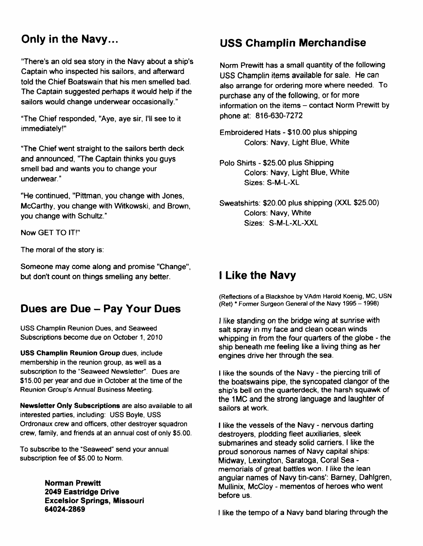## Only in the Navy...

"There's an old sea story in the Navy about a ship's Captain who inspected his sailors, and afterward told the Chief Boatswain that his men smelled bad. The Captain suggested perhaps it would help if the sailors would change underwear occasionally."

"The Chief responded, "Aye, aye sir, l'll see to it immediately!"

'The Chief went straight to the sailors berth deck and announced, "The Captain thinks you guys smell bad and wants you to change your underwear.'

"He continued, "Pittman, you change with Jones, McCarthy, you change with Witkowski, and Brown, you change with Schultz."

Now GET TO lT!"

The moral of the story is:

Someone may come along and promise "Change", but don't count on things smelling any better.

## Dues are Due - Pay Your Dues

USS Champlin Reunion Dues, and Seaweed Subscriptions become due on October 1,2010

USS Champlin Reunion Group dues, include membership in the reunion group, as well as a subscription to the "Seaweed Newsfetter". Oues are \$15.00 per year and due in October at the time of the Reunion Group's Annual Business Meeting.

Newsletter Only Subecriptions are also available to all interested parties, including: USS Boyle, USS Ordronaux crew and officers, other destroyer squadron crew, family, and friends at an annual cost of only \$5.00.

To subscribe to the "Seaweed" send your annual subscription fee of \$5.00 to Norm.

> Norman Prewitt 2019 Eastridge Drive Excelsior Springs, Missouri 64024-2869

## USS Champlin Merchandise

Norm Prewitt has a small quantity of the following USS Champlin items available for sale. He can also arrange for ordering more where needed. To purchase any of the following, or for more information on the items – contact Norm Prewitt by phone at: 816-630-7272

Embroidered Hats - \$10.00 plus shipping Colors: Navy, Light Blue, White

- Polo Shirts \$25.00 plus Shipping Colors: Navy, Light Blue, White Sizes: S-M-L-XL
- Sweatshirts: \$20.00 plus shipping (XXL \$25.00) Colors: Navy, White Sizes. S-M-L-XL-XXL

## I Like the Navy

(Refleciions of a Blackshoe by VAdm Harold Koenig, MC, USN (Ret) \* Former Surgeon General of the Navy 1995 - 1998)

I fike standing on the bridge wing at sunrise with salt spray in my face and clean ocean winds whipping in from the four quarters of the globe - the ship beneath me feeling like a living thing as her engines drive her through the sea.

I like the sounds of the Navy - the piercing trill of the boatswains pipe, the syncopated clangor of the ship's bell on the quarterdeck, the harsh squawk of the 1MC and the strong language and laughter of sailors at work.

I like the vessels of the Navy - nervous darting destroyers, plodding fleet auxiliaries, sleek submarines and steady solid carriers. I like the proud sonorous names of Navy capital ships: Midway, Lexington, Saratoga, Coral Sea memorials of great battles won. I fike the lean angular names of Navy tin-cans': Barney, Dahlgren, Mullinix, McCloy - mementos of heroes who went before us.

t like the tempo of a Navy band blaring through the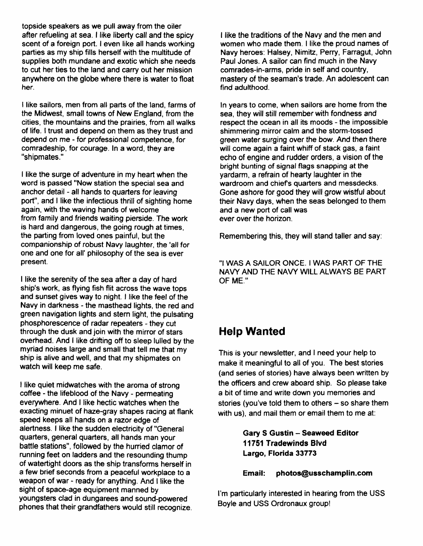topside speakers as we pull away from the oiler after refueling at sea. I like liberty call and the spicy scent of a foreign port. I even like all hands working parties as my ship fills herself with the multitude of supplies both mundane and exotic which she needs to cut her ties to the land and carry out her mission anywhere on the globe where there is water to float her.

I like sailors, men from all parts of the land, farms of the Midwest, small towns of New England, from the cities, the mountains and the prairies, from all walks of life. I trust and depend on them as they trust and depend on me - for professional competence, for comradeship, for courage. In a word, they are "shipmates."

I like the surge of adventure in my heart when the word is passed "Now station the special sea and anchor detail - all hands to quarters for leaving port", and I like the infectious thrill of sighting home again, with the waving hands of welcome from family and friends waiting pierside. The work is hard and dangerous, the going rough at times, the parting from loved ones painful, but the companionship of robust Navy laughter, the 'afl for one and one for all' philosophy of the sea is ever present.

I like the serenity of the sea after a day of hard ship's work, as flying fish flit across the wave tops and sunset gives way to night. I like the feel of the Navy in darkness - the masthead lights, the red and green navigation lights and stern light, the pulsating phosphorescence of radar repeaters - they cut through the dusk and join with the mirror of stars overhead. And I like drifiing off to sleep lulled by the myriad noises large and small that tell me that my ship is alive and well, and that my shipmates on watch will keep me safe.

I like quiet midwatches with the aroma of strong coffee - the lifeblood of the Navy - permeating everywhere. And I like hectic watches when the exacting minuet of haze-gray shapes racing at flank speed keeps all hands on a razor edge of alertness. I like the sudden electricity of "General quarters, general quarters, all hands man your battle stations", foflowed by the hurried clamor of running feet on ladders and the resounding thump of watertight doors as the ship transforms herself in a few brief seconds from a peaceful workplace to a weapon of war - ready for anything. And I like the sight of space-age equipment manned by youngsters clad in dungarees and sound-powered phones that their grandfathers would still recognize.

I fike the traditions of the Navy and the men and women who made them. I like the proud names of Navy heroes: Halsey, Nimitz, Perry, Farragut, John Paul Jones. A sailor can find much in the Navy comrades-in-arms, pride in self and country, mastery of the seaman's trade. An adolescent can find adulthood.

In years to come, when sailors are home from the sea, they will still remember with fondness and respect the ocean in all its moods - the impossible shimmering mirror calm and the storm-tossed green water surging over the bow. And then there will come again a faint whiff of stack gas, a faint echo of engine and rudder orders, a vision of the bright bunting of signal flags snapping at the yardarm, a refrain of hearty laughter in the wardroom and chiefs quarters and messdecks. Gone ashore for good they will grow wistful about their Navy days, when the seas belonged to them and a new port of call was ever over the horizon.

Remembering this, they will stand taller and say:

,'I WAS A SAILOR ONCE. I WAS PART OF THE NAVY AND THE NAVY WILL ALWAYS BE PART OF ME.''

#### Help Wanted

This is your newsletter, and I need your help to make it meaningful to all of you. The best stories (and series of stories) have always been written by the officers and crew aboard ship. So please take a bit of time and write down you memories and stories (you've told them to others  $-$  so share them with us), and mail them or email them to me at:

> Gary S Gustin - Seaweed Editor 11751 Tradewinds Blvd Largo, Florida 33773

#### Email: photos@usschamplin.com

I'm particularly interested in hearing from the USS Boyle and USS Ordronaux group!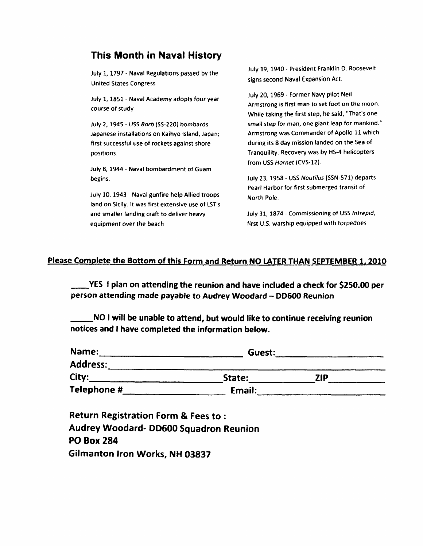#### This Month in Naval History

July 1, 1797 - Naval Regulations passed by the United States Congress

July 1, 1851 - Naval Academy adopts four year course of study

July 2, 1945 - USS Barb (SS-220) bombards Japanese installations on Kaihyo lsland, Japan; first successful use of rockets against shore positions.

Jufy 8, t944 - Naval bombardment of Guam begins.

July 10, 1943 - Naval gunfire help Allied troops land on Sicily. lt was first extensive use of LST's and smaller landing craft to deliver heavy equipment over the beach

July 19, 1940 - President Franklin D. Roosevelt signs second Naval Expansion Act.

July 20, 1969 - Former Navy pilot Neil Armstrong is first man to set foot on the moon. Whife taking the first step, he said, "That's one small step for man, one giant leap for mankind." Armstrong was Commander of Apollo 11 which during its 8 day mission landed on the Sea of Tranquility. Recovery was by HS-4 helicopters from USS Hornet (CVS-12)

July 23, 1958 - USS Nautilus (SSN-571) departs Pearl Harbor for first submerged transit of North Pole.

July 31, 1874 - Commissioning of USS lntrepid, first U.5. warship equipped with torpedoes

#### Please Complete the Bottom of this Form and Return NO LATER THAN SEPTEMBER 1, 2010

-YES I plan on attending the reunion and have included a check for 5250.fi) per person attending made payable to Audrey Woodard - DD600 Reunion

NO I will be unable to attend, but would fike to continue receiving reunion notices and I have completed the information below.

| Name:           | Guest: |     |  |
|-----------------|--------|-----|--|
| <b>Address:</b> |        |     |  |
| City:           | State: | ZIP |  |
| Telephone #     | Email: |     |  |

Return Registration Form & Fees to : Audrey Woodard- DD500 Squadron Reunion PO Box 284 Gilmanton Iron Works, NH 03837